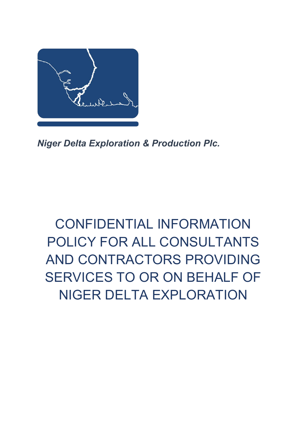

*Niger Delta Exploration & Production Plc.*

# CONFIDENTIAL INFORMATION POLICY FOR ALL CONSULTANTS AND CONTRACTORS PROVIDING SERVICES TO OR ON BEHALF OF NIGER DELTA EXPLORATION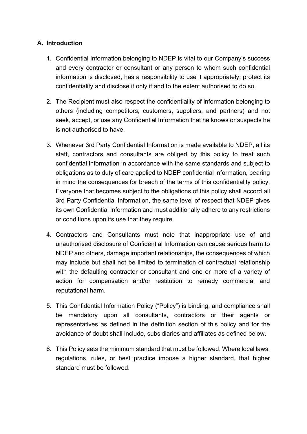## **A. Introduction**

- 1. Confidential Information belonging to NDEP is vital to our Company's success and every contractor or consultant or any person to whom such confidential information is disclosed, has a responsibility to use it appropriately, protect its confidentiality and disclose it only if and to the extent authorised to do so.
- 2. The Recipient must also respect the confidentiality of information belonging to others (including competitors, customers, suppliers, and partners) and not seek, accept, or use any Confidential Information that he knows or suspects he is not authorised to have.
- 3. Whenever 3rd Party Confidential Information is made available to NDEP, all its staff, contractors and consultants are obliged by this policy to treat such confidential information in accordance with the same standards and subject to obligations as to duty of care applied to NDEP confidential information, bearing in mind the consequences for breach of the terms of this confidentiality policy. Everyone that becomes subject to the obligations of this policy shall accord all 3rd Party Confidential Information, the same level of respect that NDEP gives its own Confidential Information and must additionally adhere to any restrictions or conditions upon its use that they require.
- 4. Contractors and Consultants must note that inappropriate use of and unauthorised disclosure of Confidential Information can cause serious harm to NDEP and others, damage important relationships, the consequences of which may include but shall not be limited to termination of contractual relationship with the defaulting contractor or consultant and one or more of a variety of action for compensation and/or restitution to remedy commercial and reputational harm.
- 5. This Confidential Information Policy ("Policy") is binding, and compliance shall be mandatory upon all consultants, contractors or their agents or representatives as defined in the definition section of this policy and for the avoidance of doubt shall include, subsidiaries and affiliates as defined below.
- 6. This Policy sets the minimum standard that must be followed. Where local laws, regulations, rules, or best practice impose a higher standard, that higher standard must be followed.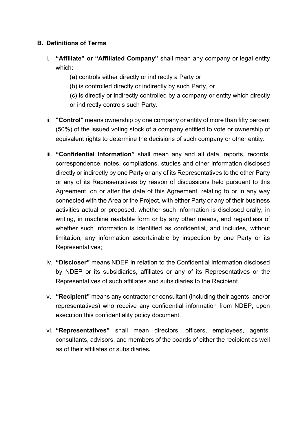## **B. Definitions of Terms**

- i. **"Affiliate" or "Affiliated Company"** shall mean any company or legal entity which:
	- (a) controls either directly or indirectly a Party or
	- (b) is controlled directly or indirectly by such Party, or
	- (c) is directly or indirectly controlled by a company or entity which directly or indirectly controls such Party.
- ii. **"Control"** means ownership by one company or entity of more than fifty percent (50%) of the issued voting stock of a company entitled to vote or ownership of equivalent rights to determine the decisions of such company or other entity.
- iii. **"Confidential Information"** shall mean any and all data, reports, records, correspondence, notes, compilations, studies and other information disclosed directly or indirectly by one Party or any of its Representatives to the other Party or any of its Representatives by reason of discussions held pursuant to this Agreement, on or after the date of this Agreement, relating to or in any way connected with the Area or the Project, with either Party or any of their business activities actual or proposed, whether such information is disclosed orally, in writing, in machine readable form or by any other means, and regardless of whether such information is identified as confidential, and includes, without limitation, any information ascertainable by inspection by one Party or its Representatives;
- iv. **"Discloser"** means NDEP in relation to the Confidential Information disclosed by NDEP or its subsidiaries, affiliates or any of its Representatives or the Representatives of such affiliates and subsidiaries to the Recipient.
- v. **"Recipient"** means any contractor or consultant (including their agents, and/or representatives) who receive any confidential information from NDEP, upon execution this confidentiality policy document.
- vi. **"Representatives"** shall mean directors, officers, employees, agents, consultants, advisors, and members of the boards of either the recipient as well as of their affiliates or subsidiaries**.**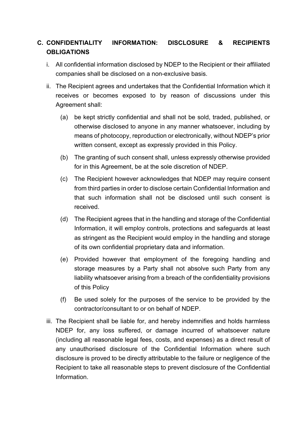## **C. CONFIDENTIALITY INFORMATION: DISCLOSURE & RECIPIENTS OBLIGATIONS**

- i. All confidential information disclosed by NDEP to the Recipient or their affiliated companies shall be disclosed on a non-exclusive basis.
- ii. The Recipient agrees and undertakes that the Confidential Information which it receives or becomes exposed to by reason of discussions under this Agreement shall:
	- (a) be kept strictly confidential and shall not be sold, traded, published, or otherwise disclosed to anyone in any manner whatsoever, including by means of photocopy, reproduction or electronically, without NDEP's prior written consent, except as expressly provided in this Policy.
	- (b) The granting of such consent shall, unless expressly otherwise provided for in this Agreement, be at the sole discretion of NDEP.
	- (c) The Recipient however acknowledges that NDEP may require consent from third parties in order to disclose certain Confidential Information and that such information shall not be disclosed until such consent is received.
	- (d) The Recipient agrees that in the handling and storage of the Confidential Information, it will employ controls, protections and safeguards at least as stringent as the Recipient would employ in the handling and storage of its own confidential proprietary data and information.
	- (e) Provided however that employment of the foregoing handling and storage measures by a Party shall not absolve such Party from any liability whatsoever arising from a breach of the confidentiality provisions of this Policy
	- (f) Be used solely for the purposes of the service to be provided by the contractor/consultant to or on behalf of NDEP.
- iii. The Recipient shall be liable for, and hereby indemnifies and holds harmless NDEP for, any loss suffered, or damage incurred of whatsoever nature (including all reasonable legal fees, costs, and expenses) as a direct result of any unauthorised disclosure of the Confidential Information where such disclosure is proved to be directly attributable to the failure or negligence of the Recipient to take all reasonable steps to prevent disclosure of the Confidential Information.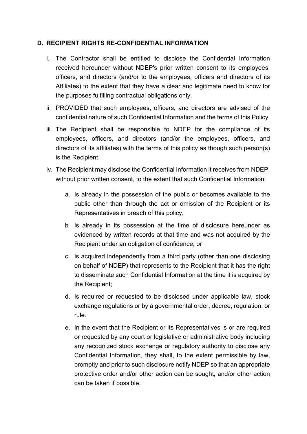#### **D. RECIPIENT RIGHTS RE-CONFIDENTIAL INFORMATION**

- i. The Contractor shall be entitled to disclose the Confidential Information received hereunder without NDEP's prior written consent to its employees, officers, and directors (and/or to the employees, officers and directors of its Affiliates) to the extent that they have a clear and legitimate need to know for the purposes fulfilling contractual obligations only.
- ii. PROVIDED that such employees, officers, and directors are advised of the confidential nature of such Confidential Information and the terms of this Policy.
- iii. The Recipient shall be responsible to NDEP for the compliance of its employees, officers, and directors (and/or the employees, officers, and directors of its affiliates) with the terms of this policy as though such person(s) is the Recipient.
- iv. The Recipient may disclose the Confidential Information it receives from NDEP, without prior written consent, to the extent that such Confidential Information:
	- a. Is already in the possession of the public or becomes available to the public other than through the act or omission of the Recipient or its Representatives in breach of this policy;
	- b Is already in its possession at the time of disclosure hereunder as evidenced by written records at that time and was not acquired by the Recipient under an obligation of confidence; or
	- c. Is acquired independently from a third party (other than one disclosing on behalf of NDEP) that represents to the Recipient that it has the right to disseminate such Confidential Information at the time it is acquired by the Recipient;
	- d. Is required or requested to be disclosed under applicable law, stock exchange regulations or by a governmental order, decree, regulation, or rule.
	- e. In the event that the Recipient or its Representatives is or are required or requested by any court or legislative or administrative body including any recognized stock exchange or regulatory authority to disclose any Confidential Information, they shall, to the extent permissible by law, promptly and prior to such disclosure notify NDEP so that an appropriate protective order and/or other action can be sought, and/or other action can be taken if possible.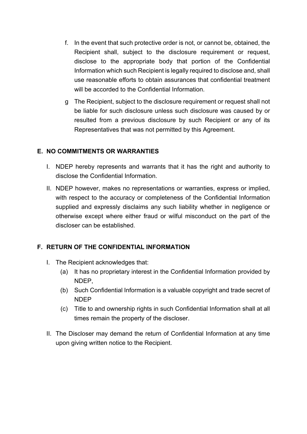- f. In the event that such protective order is not, or cannot be, obtained, the Recipient shall, subject to the disclosure requirement or request, disclose to the appropriate body that portion of the Confidential Information which such Recipient is legally required to disclose and, shall use reasonable efforts to obtain assurances that confidential treatment will be accorded to the Confidential Information.
- g The Recipient, subject to the disclosure requirement or request shall not be liable for such disclosure unless such disclosure was caused by or resulted from a previous disclosure by such Recipient or any of its Representatives that was not permitted by this Agreement.

## **E. NO COMMITMENTS OR WARRANTIES**

- I. NDEP hereby represents and warrants that it has the right and authority to disclose the Confidential Information.
- II. NDEP however, makes no representations or warranties, express or implied, with respect to the accuracy or completeness of the Confidential Information supplied and expressly disclaims any such liability whether in negligence or otherwise except where either fraud or wilful misconduct on the part of the discloser can be established.

## **F. RETURN OF THE CONFIDENTIAL INFORMATION**

- I. The Recipient acknowledges that:
	- (a) It has no proprietary interest in the Confidential Information provided by NDEP,
	- (b) Such Confidential Information is a valuable copyright and trade secret of NDEP
	- (c) Title to and ownership rights in such Confidential Information shall at all times remain the property of the discloser.
- II. The Discloser may demand the return of Confidential Information at any time upon giving written notice to the Recipient.